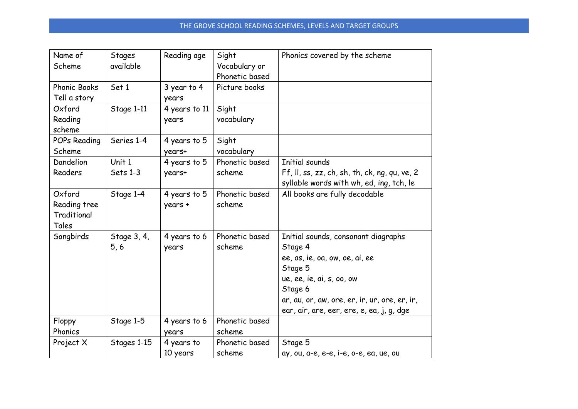| Name of<br>Scheme                              | <b>Stages</b><br>available | Reading age             | Sight<br>Vocabulary or<br>Phonetic based | Phonics covered by the scheme                                                                                                                                                                                                     |
|------------------------------------------------|----------------------------|-------------------------|------------------------------------------|-----------------------------------------------------------------------------------------------------------------------------------------------------------------------------------------------------------------------------------|
| <b>Phonic Books</b><br>Tell a story            | Set 1                      | 3 year to 4<br>years    | Picture books                            |                                                                                                                                                                                                                                   |
| Oxford<br>Reading<br>scheme                    | Stage 1-11                 | 4 years to 11<br>years  | Sight<br>vocabulary                      |                                                                                                                                                                                                                                   |
| POPs Reading<br>Scheme                         | Series 1-4                 | 4 years to 5<br>years+  | Sight<br>vocabulary                      |                                                                                                                                                                                                                                   |
| Dandelion<br>Readers                           | Unit 1<br>Sets 1-3         | 4 years to 5<br>years+  | Phonetic based<br>scheme                 | Initial sounds<br>Ff, II, ss, zz, ch, sh, th, ck, ng, qu, ve, $2$<br>syllable words with wh, ed, ing, tch, le                                                                                                                     |
| Oxford<br>Reading tree<br>Traditional<br>Tales | Stage 1-4                  | 4 years to 5<br>years + | Phonetic based<br>scheme                 | All books are fully decodable                                                                                                                                                                                                     |
| Songbirds                                      | Stage 3, 4,<br>5,6         | 4 years to 6<br>years   | Phonetic based<br>scheme                 | Initial sounds, consonant diagraphs<br>Stage 4<br>ee, as, ie, oa, ow, oe, ai, ee<br>Stage 5<br>ue, ee, ie, ai, s, oo, ow<br>Stage 6<br>ar, au, or, aw, ore, er, ir, ur, ore, er, ir,<br>ear, air, are, eer, ere, e, ea, j, g, dge |
| Floppy<br>Phonics                              | Stage 1-5                  | 4 years to 6<br>years   | Phonetic based<br>scheme                 |                                                                                                                                                                                                                                   |
| Project X                                      | Stages 1-15                | 4 years to<br>10 years  | Phonetic based<br>scheme                 | Stage 5<br>ay, ou, a-e, e-e, i-e, o-e, ea, ue, ou                                                                                                                                                                                 |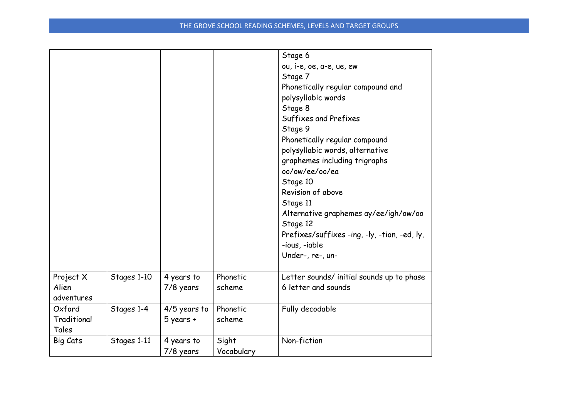|                                  |             |                               |                     | Stage 6<br>ou, i-e, oe, a-e, ue, ew<br>Stage 7<br>Phonetically regular compound and<br>polysyllabic words<br>Stage 8<br>Suffixes and Prefixes<br>Stage 9<br>Phonetically regular compound<br>polysyllabic words, alternative<br>graphemes including trigraphs<br>oo/ow/ee/oo/ea<br>Stage 10<br>Revision of above<br>Stage 11<br>Alternative graphemes ay/ee/igh/ow/oo<br>Stage 12<br>Prefixes/suffixes -ing, -ly, -tion, -ed, ly,<br>-ious, -iable<br>Under-, re-, un- |
|----------------------------------|-------------|-------------------------------|---------------------|------------------------------------------------------------------------------------------------------------------------------------------------------------------------------------------------------------------------------------------------------------------------------------------------------------------------------------------------------------------------------------------------------------------------------------------------------------------------|
| Project X<br>Alien<br>adventures | Stages 1-10 | 4 years to<br>7/8 years       | Phonetic<br>scheme  | Letter sounds/ initial sounds up to phase<br>6 letter and sounds                                                                                                                                                                                                                                                                                                                                                                                                       |
| Oxford<br>Traditional<br>Tales   | Stages 1-4  | 4/5 years to<br>$5$ years $+$ | Phonetic<br>scheme  | Fully decodable                                                                                                                                                                                                                                                                                                                                                                                                                                                        |
| Big Cats                         | Stages 1-11 | 4 years to<br>7/8 years       | Sight<br>Vocabulary | Non-fiction                                                                                                                                                                                                                                                                                                                                                                                                                                                            |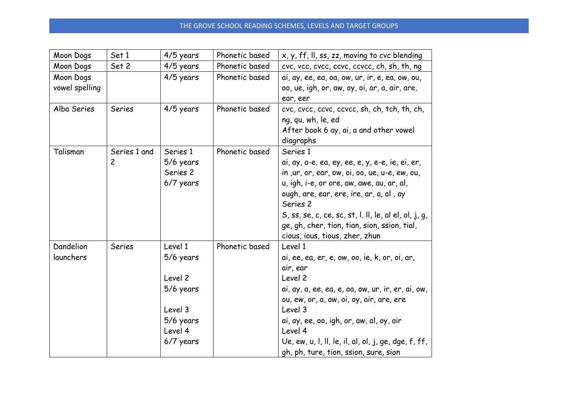## THE GROVE SCHOOL READING SCHEMES, LEVELS AND TARGET GROUPS

| Moon Dogs                   | Set 1                          | 4/5 years                                                                                    | Phonetic based | x, y, ff, II, ss, zz, moving to cvc blending                                                                                                                                                                                                                                                                                                                    |
|-----------------------------|--------------------------------|----------------------------------------------------------------------------------------------|----------------|-----------------------------------------------------------------------------------------------------------------------------------------------------------------------------------------------------------------------------------------------------------------------------------------------------------------------------------------------------------------|
| Moon Dogs                   | Set 2                          | 4/5 years                                                                                    | Phonetic based | cvc, vcc, cvcc, ccvc, ccvcc, ch, sh, th, ng                                                                                                                                                                                                                                                                                                                     |
| Moon Dogs<br>vowel spelling |                                | 4/5 years                                                                                    | Phonetic based | ai, ay, ee, ea, oa, ow, ur, ir, e, ea, ow, ou,<br>oo, ue, igh, or, aw, oy, oi, ar, a, air, are,<br>ear, eer                                                                                                                                                                                                                                                     |
| Alba Series                 | Series                         | 4/5 years                                                                                    | Phonetic based | cvc, cvcc, ccvc, ccvcc, sh, ch, tch, th, ch,<br>ng, qu, wh, le, ed<br>After book 6 ay, ai, a and other vowel<br>diagraphs                                                                                                                                                                                                                                       |
| Talisman                    | Series 1 and<br>$\overline{c}$ | Series 1<br>5/6 years<br>Series 2<br>6/7 years                                               | Phonetic based | Series 1<br>ai, ay, a-e, ea, ey, ee, e, y, e-e, ie, ei, er,<br>in , ur, or, ear, ow, oi, oo, ue, u-e, ew, ou,<br>u, igh, i-e, or ore, aw, awe, au, ar, al,<br>ough, are, ear, ere, ire, ar, a, al, ay<br>Series 2<br>$S$ , ss, se, c, ce, sc, st, l, ll, le, al el, ol, j, g,<br>ge, gh, cher, tion, tian, sion, ssion, tial,<br>cious, ious, tious, zher, zhun |
| Dandelion<br>launchers      | Series                         | Level 1<br>5/6 years<br>Level 2<br>5/6 years<br>Level 3<br>5/6 years<br>Level 4<br>6/7 years | Phonetic based | Level 1<br>ai, ee, ea, er, e, ow, oo, ie, k, or, oi, ar,<br>air, ear<br>Level 2<br>ai, ay, a, ee, ea, e, oa, ow, ur, ir, er, ai, ow,<br>ou, ew, or, a, aw, oi, oy, air, are, ere<br>Level 3<br>ai, ay, ee, oo, igh, or, aw, al, oy, air<br>Level 4<br>Ue, ew, u, l, ll, le, il, al, ol, j, ge, dge, f, ff,<br>gh, ph, ture, tion, ssion, sure, sion             |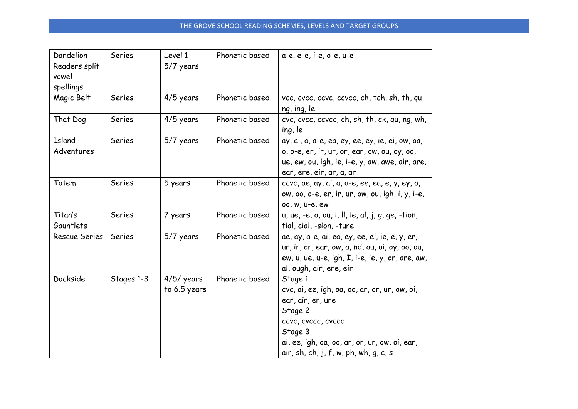| Dandelion<br>Readers split<br>vowel<br>spellings | <b>Series</b> | Level 1<br>5/7 years         | Phonetic based | a-e. e-e, i-e, o-e, u-e                                                                                                                                                                                             |
|--------------------------------------------------|---------------|------------------------------|----------------|---------------------------------------------------------------------------------------------------------------------------------------------------------------------------------------------------------------------|
| Magic Belt                                       | <b>Series</b> | 4/5 years                    | Phonetic based | vcc, cvcc, ccvc, ccvcc, ch, tch, sh, th, qu,<br>ng, ing, le                                                                                                                                                         |
| That Dog                                         | Series        | 4/5 years                    | Phonetic based | cvc, cvcc, ccvcc, ch, sh, th, ck, qu, ng, wh,<br>ing, le                                                                                                                                                            |
| Island<br>Adventures                             | Series        | 5/7 years                    | Phonetic based | ay, ai, a, a-e, ea, ey, ee, ey, ie, ei, ow, oa,<br>o, o-e, er, ir, ur, or, ear, ow, ou, oy, oo,<br>ue, ew, ou, igh, ie, i-e, y, aw, awe, air, are,<br>ear, ere, eir, ar, a, ar                                      |
| Totem                                            | <b>Series</b> | 5 years                      | Phonetic based | ccvc, ae, ay, ai, a, a-e, ee, ea, e, y, ey, o,<br>ow, oo, o-e, er, ir, ur, ow, ou, igh, i, y, i-e,<br>00, W, U-e, ew                                                                                                |
| Titan's<br>Gauntlets                             | <b>Series</b> | 7 years                      | Phonetic based | u, ue, $-e$ , o, ou, l, ll, le, al, j, g, ge, -tion,<br>tial, cial, -sion, -ture                                                                                                                                    |
| Rescue Series                                    | Series        | 5/7 years                    | Phonetic based | ae, ay, a-e, ai, ea, ey, ee, el, ie, e, y, er,<br>ur, ir, or, ear, ow, a, nd, ou, oi, oy, oo, ou,<br>ew, $u$ , $ue$ , $u-e$ , $igh$ , $I$ , $i-e$ , $ie$ , $y$ , $or$ , $are$ , $aw$ ,<br>al, ough, air, ere, eir   |
| Dockside                                         | Stages 1-3    | $4/5/$ years<br>to 6.5 years | Phonetic based | Stage 1<br>cvc, ai, ee, igh, oa, oo, ar, or, ur, ow, oi,<br>ear, air, er, ure<br>Stage 2<br>ccvc, cvccc, cvccc<br>Stage 3<br>ai, ee, igh, oa, oo, ar, or, ur, ow, oi, ear,<br>air, sh, ch, j, f, w, ph, wh, g, c, s |